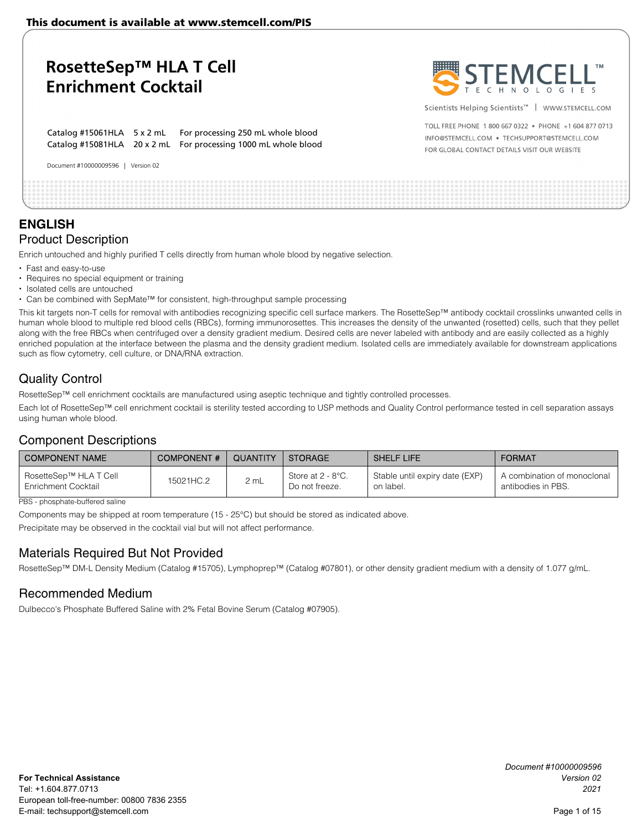Catalog #15061HLA 5 x 2 mL For processing 250 mL whole blood Catalog #15081HLA 20 x 2 mL For processing 1000 mL whole blood



Scientists Helping Scientists<sup>™</sup> | WWW.STEMCELL.COM

TOLL ERFE PHONE 1 800 667 0322 · PHONE +1 604 877 0713 INFO@STEMCELL.COM . TECHSUPPORT@STEMCELL.COM FOR GLOBAL CONTACT DETAILS VISIT OUR WEBSITE

## **ENGLISH**  Product Description

Enrich untouched and highly purified T cells directly from human whole blood by negative selection.

- Fast and easy-to-use
- Requires no special equipment or training

Document #10000009596 | Version 02

- Isolated cells are untouched
- Can be combined with SepMate™ for consistent, high-throughput sample processing

This kit targets non-T cells for removal with antibodies recognizing specific cell surface markers. The RosetteSep™ antibody cocktail crosslinks unwanted cells in human whole blood to multiple red blood cells (RBCs), forming immunorosettes. This increases the density of the unwanted (rosetted) cells, such that they pellet along with the free RBCs when centrifuged over a density gradient medium. Desired cells are never labeled with antibody and are easily collected as a highly enriched population at the interface between the plasma and the density gradient medium. Isolated cells are immediately available for downstream applications such as flow cytometry, cell culture, or DNA/RNA extraction.

### Quality Control

RosetteSep™ cell enrichment cocktails are manufactured using aseptic technique and tightly controlled processes.

Each lot of RosetteSep™ cell enrichment cocktail is sterility tested according to USP methods and Quality Control performance tested in cell separation assays using human whole blood.

### Component Descriptions

| I COMPONENT NAME                              | <b>COMPONENT#</b> | QUANTITY | <b>STORAGE</b>                      | <b>SHELF LIFE</b>                           | <b>FORMAT</b>                                     |
|-----------------------------------------------|-------------------|----------|-------------------------------------|---------------------------------------------|---------------------------------------------------|
| RosetteSep™ HLA T Cell<br>Enrichment Cocktail | 15021HC.2         | 2 mL     | Store at 2 - 8°C.<br>Do not freeze. | Stable until expiry date (EXP)<br>on label. | A combination of monoclonal<br>antibodies in PBS. |

#### PBS - phosphate-buffered saline

Components may be shipped at room temperature (15 - 25°C) but should be stored as indicated above.

Precipitate may be observed in the cocktail vial but will not affect performance.

### Materials Required But Not Provided

RosetteSep™ DM-L Density Medium (Catalog #15705), Lymphoprep™ (Catalog #07801), or other density gradient medium with a density of 1.077 g/mL.

### Recommended Medium

Dulbecco's Phosphate Buffered Saline with 2% Fetal Bovine Serum (Catalog #07905).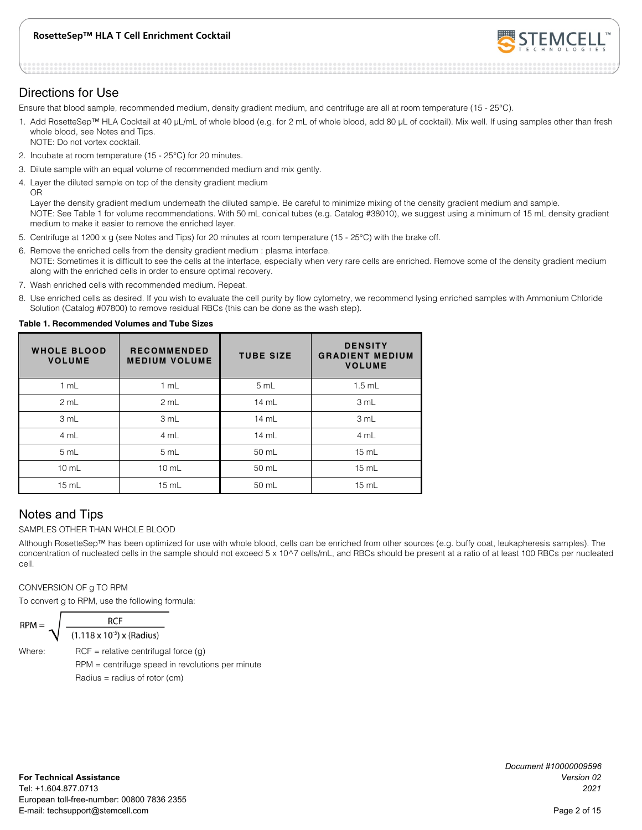

### Directions for Use

Ensure that blood sample, recommended medium, density gradient medium, and centrifuge are all at room temperature (15 - 25°C).

- 1. Add RosetteSep™ HLA Cocktail at 40 μL/mL of whole blood (e.g. for 2 mL of whole blood, add 80 μL of cocktail). Mix well. If using samples other than fresh whole blood, see Notes and Tips. NOTE: Do not vortex cocktail.
- 2. Incubate at room temperature (15 25°C) for 20 minutes.
- 3. Dilute sample with an equal volume of recommended medium and mix gently.
- 4. Layer the diluted sample on top of the density gradient medium OR

Layer the density gradient medium underneath the diluted sample. Be careful to minimize mixing of the density gradient medium and sample. NOTE: See Table 1 for volume recommendations. With 50 mL conical tubes (e.g. Catalog #38010), we suggest using a minimum of 15 mL density gradient medium to make it easier to remove the enriched layer.

- 5. Centrifuge at 1200 x g (see Notes and Tips) for 20 minutes at room temperature (15 25°C) with the brake off.
- 6. Remove the enriched cells from the density gradient medium : plasma interface. NOTE: Sometimes it is difficult to see the cells at the interface, especially when very rare cells are enriched. Remove some of the density gradient medium along with the enriched cells in order to ensure optimal recovery.
- 7. Wash enriched cells with recommended medium. Repeat.
- 8. Use enriched cells as desired. If you wish to evaluate the cell purity by flow cytometry, we recommend lysing enriched samples with Ammonium Chloride Solution (Catalog #07800) to remove residual RBCs (this can be done as the wash step).

#### **Table 1. Recommended Volumes and Tube Sizes**

| <b>WHOLE BLOOD</b><br><b>VOLUME</b> | <b>RECOMMENDED</b><br><b>MEDIUM VOLUME</b> | <b>TUBE SIZE</b> | <b>DENSITY</b><br><b>GRADIENT MEDIUM</b><br><b>VOLUME</b> |
|-------------------------------------|--------------------------------------------|------------------|-----------------------------------------------------------|
| 1 mL                                | 1 mL                                       | 5 mL             | $1.5$ mL                                                  |
| 2 mL                                | 2 mL                                       | 14 mL            | 3 mL                                                      |
| 3 mL                                | 3 mL                                       | 14 mL            | 3 mL                                                      |
| 4 mL                                | 4 mL                                       | 14 mL            | 4 mL                                                      |
| 5 mL                                | 5 mL                                       | 50 mL            | $15 \text{ mL}$                                           |
| $10$ mL                             | $10$ mL                                    | 50 mL            | $15$ mL                                                   |
| $15$ mL                             | 15 mL                                      | 50 mL            | $15$ mL                                                   |

### Notes and Tips

#### SAMPLES OTHER THAN WHOLE BLOOD

Although RosetteSep™ has been optimized for use with whole blood, cells can be enriched from other sources (e.g. buffy coat, leukapheresis samples). The concentration of nucleated cells in the sample should not exceed 5 x 10^7 cells/mL, and RBCs should be present at a ratio of at least 100 RBCs per nucleated cell.

CONVERSION OF g TO RPM

To convert g to RPM, use the following formula:

$$
RPM = \sqrt{\frac{RCF}{(1.118 \times 10^{-5})}}
$$

 $(1.118 \times 10^{-5}) \times (Radius)$ 

Where:  $RCF =$  relative centrifugal force  $(q)$  RPM = centrifuge speed in revolutions per minute  $Radius = radius of rotor (cm)$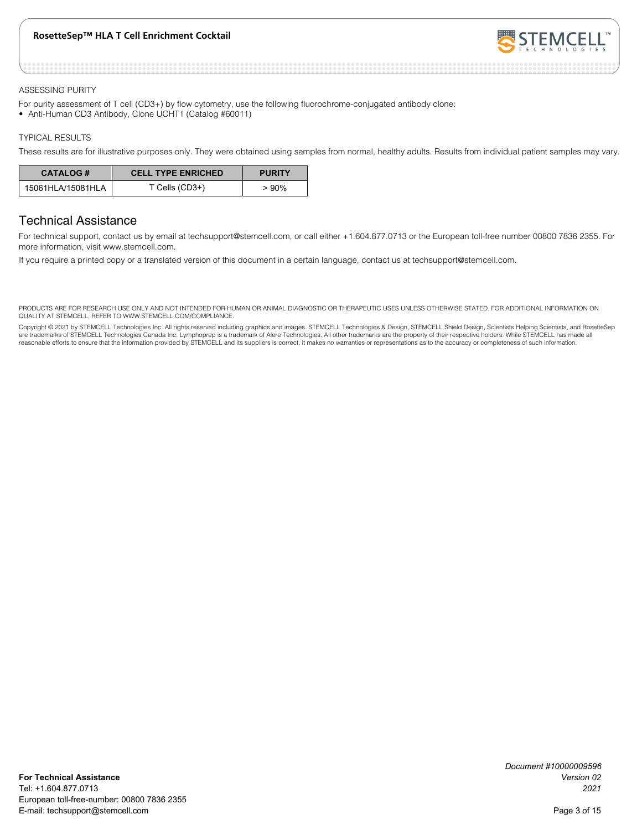

#### ASSESSING PURITY

For purity assessment of T cell (CD3+) by flow cytometry, use the following fluorochrome-conjugated antibody clone: • Anti-Human CD3 Antibody, Clone UCHT1 (Catalog #60011)

#### TYPICAL RESULTS

These results are for illustrative purposes only. They were obtained using samples from normal, healthy adults. Results from individual patient samples may vary.

| <b>CATALOG#</b>   | <b>CELL TYPE ENRICHED</b> | <b>PURITY</b> |
|-------------------|---------------------------|---------------|
| 15061HLA/15081HLA | T Cells (CD3+)            | > 90%         |

### Technical Assistance

For technical support, contact us by email at techsupport@stemcell.com, or call either +1.604.877.0713 or the European toll-free number 00800 7836 2355. For more information, visit www.stemcell.com.

If you require a printed copy or a translated version of this document in a certain language, contact us at techsupport@stemcell.com.

PRODUCTS ARE FOR RESEARCH USE ONLY AND NOT INTENDED FOR HUMAN OR ANIMAL DIAGNOSTIC OR THERAPEUTIC USES UNLESS OTHERWISE STATED. FOR ADDITIONAL INFORMATION ON QUALITY AT STEMCELL, REFER TO WWW.STEMCELL.COM/COMPLIANCE.

Copyright @ 2021 by STEMCELL Technologies Inc. All rights reserved including graphics and images. STEMCELL Technologies & Design, STEMCELL Shield Design, Scientists Helping Scientists, and RosetteSep are trademarks of STEMCELL Technologies Canada Inc. Lymphoprep is a trademark of Alere Technologies. All other trademarks are the property of their respective holders. While STEMCELL has made all reasonable efforts to ensure that the information provided by STEMCELL and its suppliers is correct, it makes no warranties or representations as to the accuracy or completeness of such information.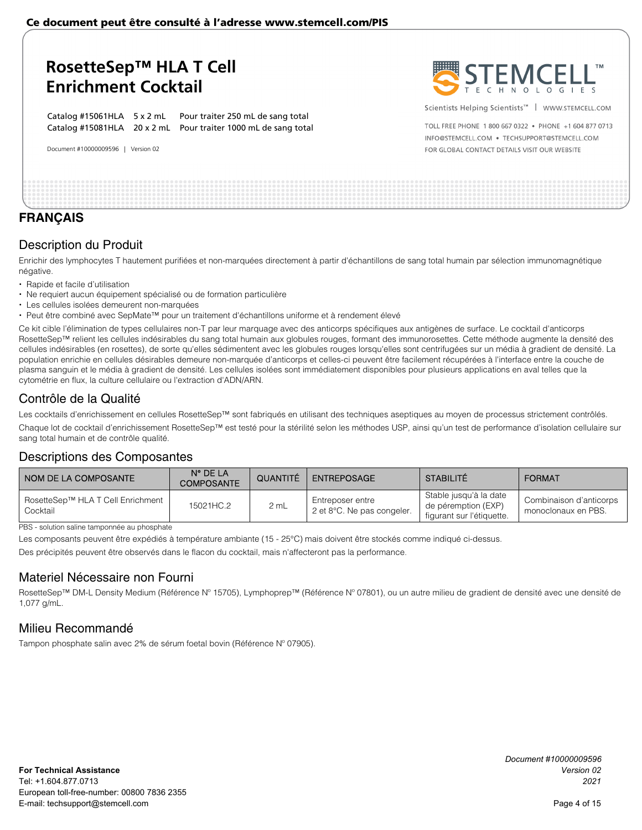Catalog #15061HLA 5 x 2 mL Pour traiter 250 mL de sang total Catalog #15081HLA 20 x 2 mL Pour traiter 1000 mL de sang total

Document #10000009596 | Version 02



Scientists Helping Scientists<sup>™</sup> | WWW.STEMCELL.COM

TOLL ERFE PHONE 1 800 667 0322 · PHONE +1 604 877 0713 INFO@STEMCELL.COM . TECHSUPPORT@STEMCELL.COM FOR GLOBAL CONTACT DETAILS VISIT OUR WEBSITE

### **FRANÇAIS**

### Description du Produit

Enrichir des lymphocytes T hautement purifiées et non-marquées directement à partir d'échantillons de sang total humain par sélection immunomagnétique négative.

- Rapide et facile d'utilisation
- Ne requiert aucun équipement spécialisé ou de formation particulière
- Les cellules isolées demeurent non-marquées
- Peut être combiné avec SepMate™ pour un traitement d'échantillons uniforme et à rendement élevé

Ce kit cible l'élimination de types cellulaires non-T par leur marquage avec des anticorps spécifiques aux antigènes de surface. Le cocktail d'anticorps RosetteSep™ relient les cellules indésirables du sang total humain aux globules rouges, formant des immunorosettes. Cette méthode augmente la densité des cellules indésirables (en rosettes), de sorte qu'elles sédimentent avec les globules rouges lorsqu'elles sont centrifugées sur un média à gradient de densité. La population enrichie en cellules désirables demeure non-marquée d'anticorps et celles-ci peuvent être facilement récupérées à l'interface entre la couche de plasma sanguin et le média à gradient de densité. Les cellules isolées sont immédiatement disponibles pour plusieurs applications en aval telles que la cytométrie en flux, la culture cellulaire ou l'extraction d'ADN/ARN.

### Contrôle de la Qualité

Les cocktails d'enrichissement en cellules RosetteSep™ sont fabriqués en utilisant des techniques aseptiques au moyen de processus strictement contrôlés. Chaque lot de cocktail d'enrichissement RosetteSep™ est testé pour la stérilité selon les méthodes USP, ainsi qu'un test de performance d'isolation cellulaire sur sang total humain et de contrôle qualité.

### Descriptions des Composantes

| NOM DE LA COMPOSANTE                          | $N^{\circ}$ DE LA<br><b>COMPOSANTE</b> | QUANTITÉ | <b>ENTREPOSAGE</b>                                       | <b>STABILITÉ</b>                                                           | <b>FORMAT</b>                                  |
|-----------------------------------------------|----------------------------------------|----------|----------------------------------------------------------|----------------------------------------------------------------------------|------------------------------------------------|
| RosetteSep™ HLA T Cell Enrichment<br>Cocktail | 15021HC.2                              | 2 mL     | Entreposer entre<br>2 et $8^{\circ}$ C. Ne pas congeler. | Stable jusqu'à la date<br>de péremption (EXP)<br>figurant sur l'étiquette. | Combinaison d'anticorps<br>monoclonaux en PBS. |

PBS - solution saline tamponnée au phosphate

Les composants peuvent être expédiés à température ambiante (15 - 25°C) mais doivent être stockés comme indiqué ci-dessus.

Des précipités peuvent être observés dans le flacon du cocktail, mais n'affecteront pas la performance.

### Materiel Nécessaire non Fourni

RosetteSep™ DM-L Density Medium (Référence N° 15705), Lymphoprep™ (Référence N° 07801), ou un autre milieu de gradient de densité avec une densité de 1,077 g/mL.

### Milieu Recommandé

Tampon phosphate salin avec 2% de sérum foetal bovin (Référence Nº 07905).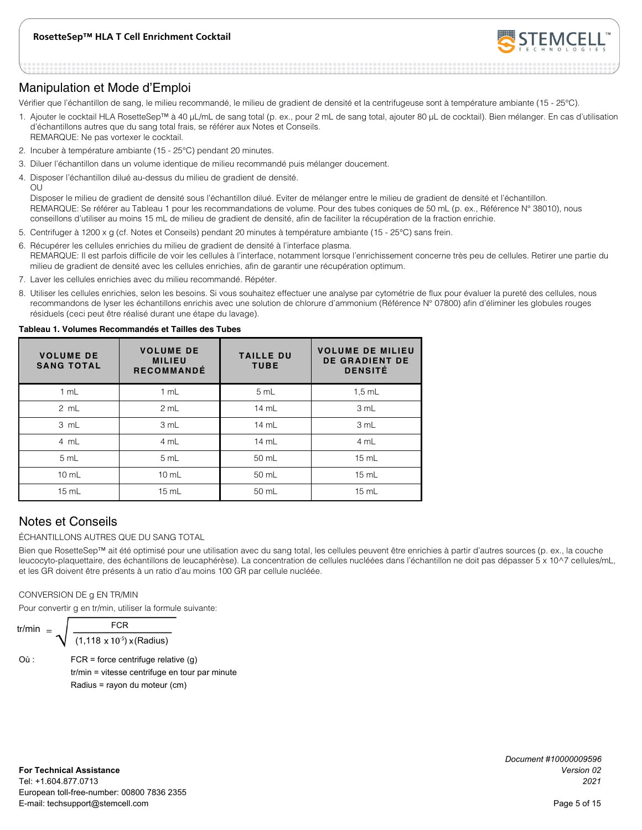

### Manipulation et Mode d'Emploi

Vérifier que l'échantillon de sang, le milieu recommandé, le milieu de gradient de densité et la centrifugeuse sont à température ambiante (15 - 25°C).

- 1. Ajouter le cocktail HLA RosetteSep™ à 40 μL/mL de sang total (p. ex., pour 2 mL de sang total, ajouter 80 μL de cocktail). Bien mélanger. En cas d'utilisation d'échantillons autres que du sang total frais, se référer aux Notes et Conseils. REMARQUE: Ne pas vortexer le cocktail.
- 2. Incuber à température ambiante (15 25°C) pendant 20 minutes.
- 3. Diluer l'échantillon dans un volume identique de milieu recommandé puis mélanger doucement.
- 4. Disposer l'échantillon dilué au-dessus du milieu de gradient de densité.

OU

Disposer le milieu de gradient de densité sous l'échantillon dilué. Eviter de mélanger entre le milieu de gradient de densité et l'échantillon. REMARQUE: Se référer au Tableau 1 pour les recommandations de volume. Pour des tubes coniques de 50 mL (p. ex., Référence N° 38010), nous conseillons d'utiliser au moins 15 mL de milieu de gradient de densité, afin de faciliter la récupération de la fraction enrichie.

- 5. Centrifuger à 1200 x g (cf. Notes et Conseils) pendant 20 minutes à température ambiante (15 25°C) sans frein.
- 6. Récupérer les cellules enrichies du milieu de gradient de densité à l'interface plasma. REMARQUE: Il est parfois difficile de voir les cellules à l'interface, notamment lorsque l'enrichissement concerne très peu de cellules. Retirer une partie du milieu de gradient de densité avec les cellules enrichies, afin de garantir une récupération optimum.
- 7. Laver les cellules enrichies avec du milieu recommandé. Répéter.
- 8. Utiliser les cellules enrichies, selon les besoins. Si vous souhaitez effectuer une analyse par cytométrie de flux pour évaluer la pureté des cellules, nous recommandons de lyser les échantillons enrichis avec une solution de chlorure d'ammonium (Référence N° 07800) afin d'éliminer les globules rouges résiduels (ceci peut être réalisé durant une étape du lavage).

#### **Tableau 1. Volumes Recommandés et Tailles des Tubes**

| <b>VOLUME DE</b><br><b>SANG TOTAL</b> | <b>VOLUME DE</b><br><b>MILIEU</b><br><b>RECOMMANDÉ</b> | <b>TAILLE DU</b><br><b>TUBE</b> | <b>VOLUME DE MILIEU</b><br><b>DE GRADIENT DE</b><br><b>DENSITÉ</b> |
|---------------------------------------|--------------------------------------------------------|---------------------------------|--------------------------------------------------------------------|
| 1 mL                                  | 1 mL                                                   | 5 mL                            | $1,5$ mL                                                           |
| 2 mL                                  | 2 mL                                                   | 14 mL                           | 3 mL                                                               |
| 3 mL                                  | 3 mL                                                   | 14 mL                           | 3 mL                                                               |
| 4 mL                                  | 4 mL                                                   | 14 mL                           | 4 mL                                                               |
| 5 mL                                  | 5 mL                                                   | 50 mL                           | 15 mL                                                              |
| $10 \text{ mL}$                       | $10 \text{ mL}$                                        | 50 mL                           | 15 mL                                                              |
| 15 mL                                 | 15 mL                                                  | 50 mL                           | $15$ mL                                                            |

### Notes et Conseils

ÉCHANTILLONS AUTRES QUE DU SANG TOTAL

Bien que RosetteSep™ ait été optimisé pour une utilisation avec du sang total, les cellules peuvent être enrichies à partir d'autres sources (p. ex., la couche leucocyto-plaquettaire, des échantillons de leucaphérèse). La concentration de cellules nucléées dans l'échantillon ne doit pas dépasser 5 x 10^7 cellules/mL, et les GR doivent être présents à un ratio d'au moins 100 GR par cellule nucléée.

#### CONVERSION DE g EN TR/MIN

Pour convertir g en tr/min, utiliser la formule suivante:

$$
\text{tr/min} = \sqrt{\frac{\text{FCR}}{(1,118 \times 10^{-5}) \times (\text{Radius})}}
$$

Où : FCR = force centrifuge relative (g) tr/min = vitesse centrifuge en tour par minute Radius = rayon du moteur (cm)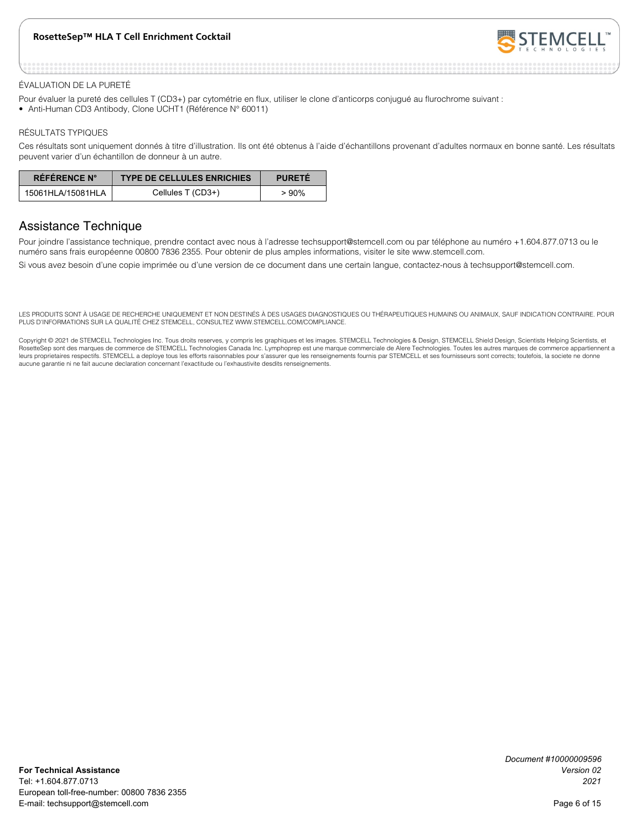

#### ÉVALUATION DE LA PURETÉ

- Pour évaluer la pureté des cellules T (CD3+) par cytométrie en flux, utiliser le clone d'anticorps conjugué au flurochrome suivant :
- Anti-Human CD3 Antibody, Clone UCHT1 (Référence N° 60011)

#### RÉSULTATS TYPIQUES

Ces résultats sont uniquement donnés à titre d'illustration. Ils ont été obtenus à l'aide d'échantillons provenant d'adultes normaux en bonne santé. Les résultats peuvent varier d'un échantillon de donneur à un autre.

| RÉFÉRENCE N°      | <b>TYPE DE CELLULES ENRICHIES</b> | <b>PURETE</b> |
|-------------------|-----------------------------------|---------------|
| 15061HLA/15081HLA | Cellules T (CD3+)                 | $>90\%$       |

### Assistance Technique

Pour joindre l'assistance technique, prendre contact avec nous à l'adresse techsupport@stemcell.com ou par téléphone au numéro +1.604.877.0713 ou le numéro sans frais européenne 00800 7836 2355. Pour obtenir de plus amples informations, visiter le site www.stemcell.com.

Si vous avez besoin d'une copie imprimée ou d'une version de ce document dans une certain langue, contactez-nous à techsupport@stemcell.com.

LES PRODUITS SONT À USAGE DE RECHERCHE UNIQUEMENT ET NON DESTINÉS À DES USAGES DIAGNOSTIQUES OU THÉRAPEUTIQUES HUMAINS OU ANIMAUX, SAUF INDICATION CONTRAIRE. POUR PLUS D'INFORMATIONS SUR LA QUALITÉ CHEZ STEMCELL, CONSULTEZ WWW.STEMCELL.COM/COMPLIANCE.

Copyright © 2021 de STEMCELL Technologies Inc. Tous droits reserves, y compris les graphiques et les images. STEMCELL Technologies & Design, STEMCELL Shield Design, Scientists Helping Scientists, et RosetteSep sont des marques de commerce de STEMCELL Technologies Canada Inc. Lymphoprep est une marque commerciale de Alere Technologies. Toutes les autres marques de commerce appartiennent a leurs proprietaires respectifs. STEMCELL a deploye tous les efforts raisonnables pour s'assurer que les renseignements fournis par STEMCELL et ses fournisseurs sont corrects; toutefois, la societe ne donne aucune garantie ni ne fait aucune declaration concernant l'exactitude ou l'exhaustivite desdits renseignements.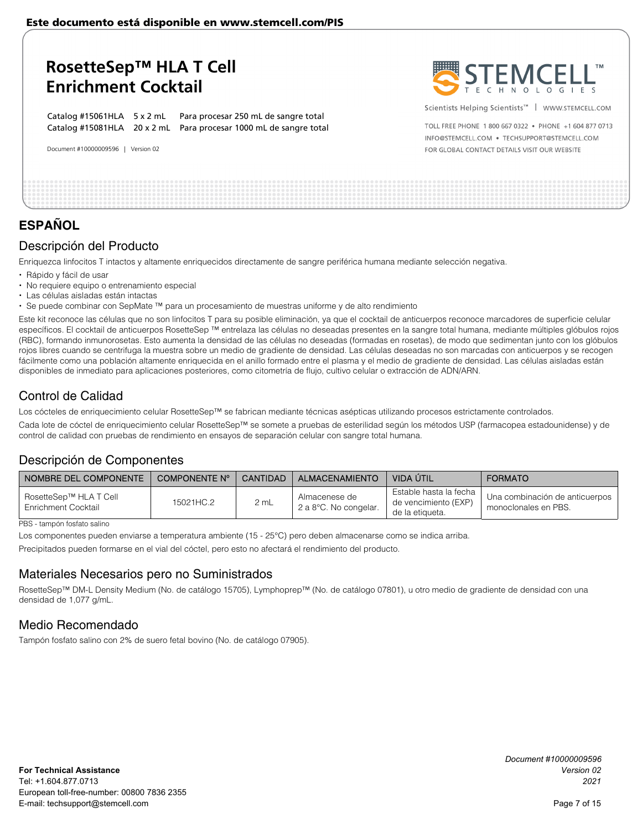Catalog #15061HLA 5 x 2 mL Para procesar 250 mL de sangre total Catalog #15081HLA 20 x 2 mL Para procesar 1000 mL de sangre total

Document #10000009596 | Version 02



Scientists Helping Scientists<sup>™</sup> | WWW.STEMCELL.COM

TOLL ERFE PHONE 1 800 667 0322 · PHONE +1 604 877 0713 INFO@STEMCELL.COM . TECHSUPPORT@STEMCELL.COM FOR GLOBAL CONTACT DETAILS VISIT OUR WEBSITE

## **ESPAÑOL**

### Descripción del Producto

Enriquezca linfocitos T intactos y altamente enriquecidos directamente de sangre periférica humana mediante selección negativa.

- Rápido y fácil de usar
- No requiere equipo o entrenamiento especial
- Las células aisladas están intactas
- Se puede combinar con SepMate ™ para un procesamiento de muestras uniforme y de alto rendimiento

Este kit reconoce las células que no son linfocitos T para su posible eliminación, ya que el cocktail de anticuerpos reconoce marcadores de superficie celular específicos. El cocktail de anticuerpos RosetteSep ™ entrelaza las células no deseadas presentes en la sangre total humana, mediante múltiples glóbulos rojos (RBC), formando inmunorosetas. Esto aumenta la densidad de las células no deseadas (formadas en rosetas), de modo que sedimentan junto con los glóbulos rojos libres cuando se centrifuga la muestra sobre un medio de gradiente de densidad. Las células deseadas no son marcadas con anticuerpos y se recogen fácilmente como una población altamente enriquecida en el anillo formado entre el plasma y el medio de gradiente de densidad. Las células aisladas están disponibles de inmediato para aplicaciones posteriores, como citometría de flujo, cultivo celular o extracción de ADN/ARN.

### Control de Calidad

Los cócteles de enriquecimiento celular RosetteSep™ se fabrican mediante técnicas asépticas utilizando procesos estrictamente controlados.

Cada lote de cóctel de enriquecimiento celular RosetteSep™ se somete a pruebas de esterilidad según los métodos USP (farmacopea estadounidense) y de control de calidad con pruebas de rendimiento en ensayos de separación celular con sangre total humana.

### Descripción de Componentes

| I NOMBRE DEL COMPONENTE                       | COMPONENTE Nº | CANTIDAD | <b>ALMACENAMIENTO</b>                  | VIDA ÚTIL                                                         | <b>FORMATO</b>                                         |
|-----------------------------------------------|---------------|----------|----------------------------------------|-------------------------------------------------------------------|--------------------------------------------------------|
| RosetteSep™ HLA T Cell<br>Enrichment Cocktail | 15021HC.2     | 2 mL     | Almacenese de<br>2 a 8°C. No congelar. | Estable hasta la fecha<br>de vencimiento (EXP)<br>de la etiqueta. | Una combinación de anticuerpos<br>monoclonales en PBS. |

PBS - tampón fosfato salino

Los componentes pueden enviarse a temperatura ambiente (15 - 25°C) pero deben almacenarse como se indica arriba.

Precipitados pueden formarse en el vial del cóctel, pero esto no afectará el rendimiento del producto.

### Materiales Necesarios pero no Suministrados

RosetteSep™ DM-L Density Medium (No. de catálogo 15705), Lymphoprep™ (No. de catálogo 07801), u otro medio de gradiente de densidad con una densidad de 1,077 g/mL.

### Medio Recomendado

Tampón fosfato salino con 2% de suero fetal bovino (No. de catálogo 07905).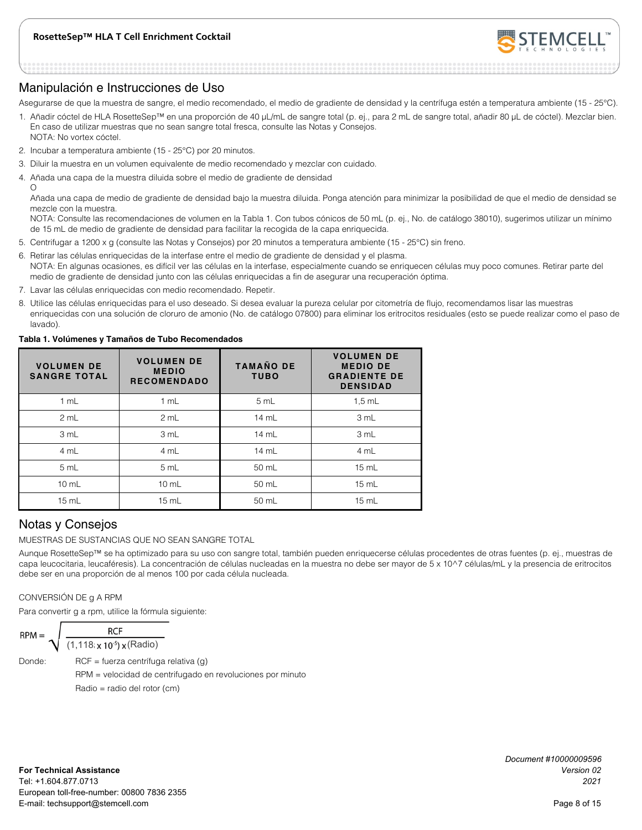

### Manipulación e Instrucciones de Uso

Asegurarse de que la muestra de sangre, el medio recomendado, el medio de gradiente de densidad y la centrífuga estén a temperatura ambiente (15 - 25°C).

- 1. Añadir cóctel de HLA RosetteSep™ en una proporción de 40 μL/mL de sangre total (p. ej., para 2 mL de sangre total, añadir 80 μL de cóctel). Mezclar bien. En caso de utilizar muestras que no sean sangre total fresca, consulte las Notas y Consejos. NOTA: No vortex cóctel.
- 2. Incubar a temperatura ambiente (15 25°C) por 20 minutos.
- 3. Diluir la muestra en un volumen equivalente de medio recomendado y mezclar con cuidado.
- 4. Añada una capa de la muestra diluida sobre el medio de gradiente de densidad

 $\Omega$ 

Añada una capa de medio de gradiente de densidad bajo la muestra diluida. Ponga atención para minimizar la posibilidad de que el medio de densidad se mezcle con la muestra.

NOTA: Consulte las recomendaciones de volumen en la Tabla 1. Con tubos cónicos de 50 mL (p. ej., No. de catálogo 38010), sugerimos utilizar un mínimo de 15 mL de medio de gradiente de densidad para facilitar la recogida de la capa enriquecida.

- 5. Centrifugar a 1200 x g (consulte las Notas y Consejos) por 20 minutos a temperatura ambiente (15 25°C) sin freno.
- 6. Retirar las células enriquecidas de la interfase entre el medio de gradiente de densidad y el plasma. NOTA: En algunas ocasiones, es difícil ver las células en la interfase, especialmente cuando se enriquecen células muy poco comunes. Retirar parte del medio de gradiente de densidad junto con las células enriquecidas a fin de asegurar una recuperación óptima.
- 7. Lavar las células enriquecidas con medio recomendado. Repetir.
- 8. Utilice las células enriquecidas para el uso deseado. Si desea evaluar la pureza celular por citometría de flujo, recomendamos lisar las muestras enriquecidas con una solución de cloruro de amonio (No. de catálogo 07800) para eliminar los eritrocitos residuales (esto se puede realizar como el paso de lavado).

#### **Tabla 1. Volúmenes y Tamaños de Tubo Recomendados**

| <b>VOLUMEN DE</b><br><b>SANGRE TOTAL</b> | <b>VOLUMEN DE</b><br><b>MEDIO</b><br><b>RECOMENDADO</b> | <b>TAMAÑO DE</b><br><b>TUBO</b> | <b>VOLUMEN DE</b><br><b>MEDIO DE</b><br><b>GRADIENTE DE</b><br><b>DENSIDAD</b> |
|------------------------------------------|---------------------------------------------------------|---------------------------------|--------------------------------------------------------------------------------|
| 1 mL                                     | 1 mL                                                    | 5 mL                            | $1.5$ mL                                                                       |
| 2 mL                                     | 2 mL                                                    | 14 mL                           | 3 mL                                                                           |
| 3 mL                                     | 3 mL                                                    | 14 mL                           | 3 mL                                                                           |
| 4 mL                                     | 4 mL                                                    | 14 mL                           | 4 mL                                                                           |
| 5 mL                                     | 5 mL                                                    | 50 mL                           | $15 \text{ mL}$                                                                |
| $10 \text{ mL}$                          | $10$ mL                                                 | 50 mL                           | $15 \text{ mL}$                                                                |
| $15 \text{ mL}$                          | 15 mL                                                   | 50 mL                           | $15 \text{ mL}$                                                                |

### Notas y Consejos

MUESTRAS DE SUSTANCIAS QUE NO SEAN SANGRE TOTAL

Aunque RosetteSep™ se ha optimizado para su uso con sangre total, también pueden enriquecerse células procedentes de otras fuentes (p. ej., muestras de capa leucocitaria, leucaféresis). La concentración de células nucleadas en la muestra no debe ser mayor de 5 x 10^7 células/mL y la presencia de eritrocitos debe ser en una proporción de al menos 100 por cada célula nucleada.

#### CONVERSIÓN DE g A RPM

Para convertir g a rpm, utilice la fórmula siguiente:

$$
RPM = \sqrt{\frac{RCF}{(1,118 \times 10^{-5}) \times (Radio)}}
$$

Donde: RCF = fuerza centrífuga relativa (g)

 RPM = velocidad de centrifugado en revoluciones por minuto Radio = radio del rotor (cm)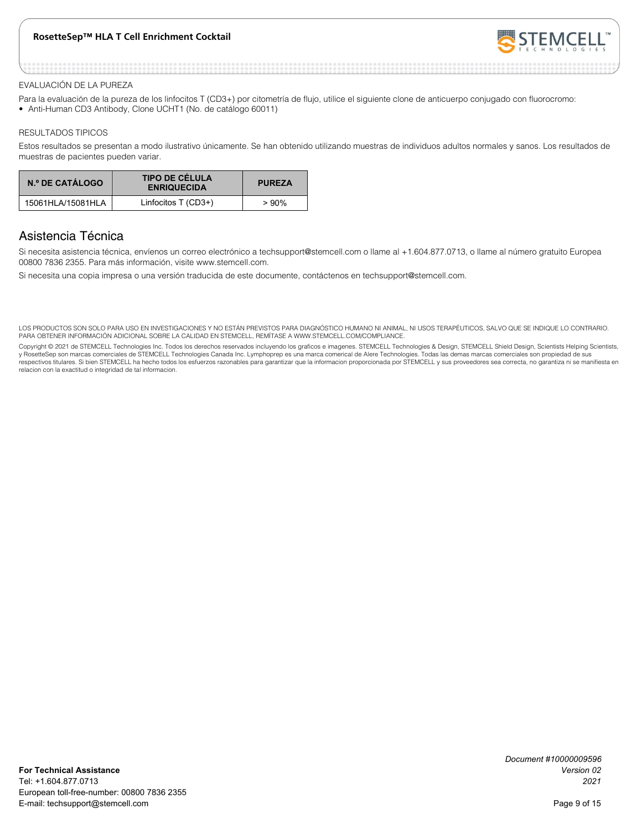

#### EVALUACIÓN DE LA PUREZA

- Para la evaluación de la pureza de los linfocitos T (CD3+) por citometría de flujo, utilice el siguiente clone de anticuerpo conjugado con fluorocromo:
- Anti-Human CD3 Antibody, Clone UCHT1 (No. de catálogo 60011)

#### RESULTADOS TIPICOS

Estos resultados se presentan a modo ilustrativo únicamente. Se han obtenido utilizando muestras de individuos adultos normales y sanos. Los resultados de muestras de pacientes pueden variar.

| N.º DE CATÁLOGO   | <b>TIPO DE CÉLULA</b><br><b>ENRIQUECIDA</b> | <b>PUREZA</b> |
|-------------------|---------------------------------------------|---------------|
| 15061HLA/15081HLA | Linfocitos $T$ (CD3+)                       | $>90\%$       |

### Asistencia Técnica

Si necesita asistencia técnica, envíenos un correo electrónico a techsupport@stemcell.com o llame al +1.604.877.0713, o llame al número gratuito Europea 00800 7836 2355. Para más información, visite www.stemcell.com.

Si necesita una copia impresa o una versión traducida de este documente, contáctenos en techsupport@stemcell.com.

LOS PRODUCTOS SON SOLO PARA USO EN INVESTIGACIONES Y NO ESTÁN PREVISTOS PARA DIAGNÓSTICO HUMANO NI ANIMAL, NI USOS TERAPÉUTICOS, SALVO QUE SE INDIQUE LO CONTRARIO. PARA OBTENER INFORMACIÓN ADICIONAL SOBRE LA CALIDAD EN STEMCELL, REMÍTASE A WWW.STEMCELL.COM/COMPLIANCE.

Copyright © 2021 de STEMCELL Technologies Inc. Todos los derechos reservados incluyendo los graficos e imagenes. STEMCELL Technologies & Design, STEMCELL Shield Design, Scientists Helping Scientists, y RosetteSep son marcas comerciales de STEMCELL Technologies Canada Inc. Lymphoprep es una marca comerical de Alere Technologies. Todas las demas marcas comerciales son propiedad de sus respectivos titulares. Si bien STEMCELL ha hecho todos los esfuerzos razonables para garantizar que la informacion proporcionada por STEMCELL y sus proveedores sea correcta, no garantiza ni se manifiesta en relacion con la exactitud o integridad de tal informacion.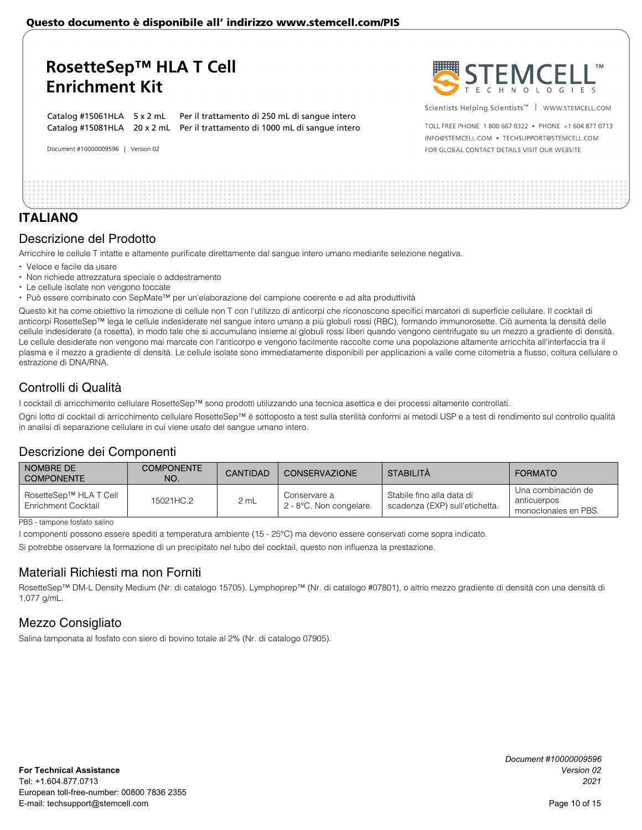## **RosetteSep™ HLA T Cell Enrichment Kit**

Catalog #15061HLA 5 x 2 mL Per il trattamento di 250 mL di sangue intero Catalog #15081HLA 20 x 2 mL Per il trattamento di 1000 mL di sangue intero

Document #10000009596 | Version 02



Scientists Helping Scientists<sup>™</sup> | WWW.STEMCELL.COM

TOLL ERFE PHONE 1 800 667 0322 · PHONE +1 604 877 0713 INFO@STEMCELL.COM . TECHSUPPORT@STEMCELL.COM FOR GLOBAL CONTACT DETAILS VISIT OUR WEBSITE

### **ITALIANO**

### Descrizione del Prodotto

Arricchire le cellule T intatte e altamente purificate direttamente dal sangue intero umano mediante selezione negativa.

- Veloce e facile da usare
- Non richiede attrezzatura speciale o addestramento
- Le cellule isolate non vengono toccate
- Può essere combinato con SepMate™ per un'elaborazione del campione coerente e ad alta produttività

Questo kit ha come obiettivo la rimozione di cellule non T con l'utilizzo di anticorpi che riconoscono specifici marcatori di superficie cellulare. Il cocktail di anticorpi RosetteSep™ lega le cellule indesiderate nel sangue intero umano a più globuli rossi (RBC), formando immunorosette. Ciò aumenta la densità delle cellule indesiderate (a rosetta), in modo tale che si accumulano insieme ai globuli rossi liberi quando vengono centrifugate su un mezzo a gradiente di densità. Le cellule desiderate non vengono mai marcate con l'anticorpo e vengono facilmente raccolte come una popolazione altamente arricchita all'interfaccia tra il plasma e il mezzo a gradiente di densità. Le cellule isolate sono immediatamente disponibili per applicazioni a valle come citometria a flusso, coltura cellulare o estrazione di DNA/RNA.

### Controlli di Qualità

I cocktail di arricchimento cellulare RosetteSep™ sono prodotti utilizzando una tecnica asettica e dei processi altamente controllati.

Ogni lotto di cocktail di arricchimento cellulare RosetteSep™ è sottoposto a test sulla sterilità conformi ai metodi USP e a test di rendimento sul controllo qualità in analisi di separazione cellulare in cui viene usato del sangue umano intero.

### Descrizione dei Componenti

| NOMBRE DE<br>I COMPONENTE                     | <b>COMPONENTE</b><br>NO. | <b>CANTIDAD</b> | <b>CONSERVAZIONE</b>                    | STABILITÀ                                                   | <b>FORMATO</b>                                            |
|-----------------------------------------------|--------------------------|-----------------|-----------------------------------------|-------------------------------------------------------------|-----------------------------------------------------------|
| RosetteSep™ HLA T Cell<br>Enrichment Cocktail | 15021HC.2                | 2 mL            | Conservare a<br>2 - 8°C. Non congelare. | Stabile fino alla data di<br>scadenza (EXP) sull'etichetta. | Una combinación de<br>anticuerpos<br>monoclonales en PBS. |

PBS - tampone fosfato salino

I componenti possono essere spediti a temperatura ambiente (15 - 25°C) ma devono essere conservati come sopra indicato.

Si potrebbe osservare la formazione di un precipitato nel tubo del cocktail, questo non influenza la prestazione.

### Materiali Richiesti ma non Forniti

RosetteSep™ DM-L Density Medium (Nr. di catalogo 15705), Lymphoprep™ (Nr. di catalogo #07801), o altrio mezzo gradiente di densità con una densità di 1,077 g/mL.

### Mezzo Consigliato

Salina tamponata al fosfato con siero di bovino totale al 2% (Nr. di catalogo 07905).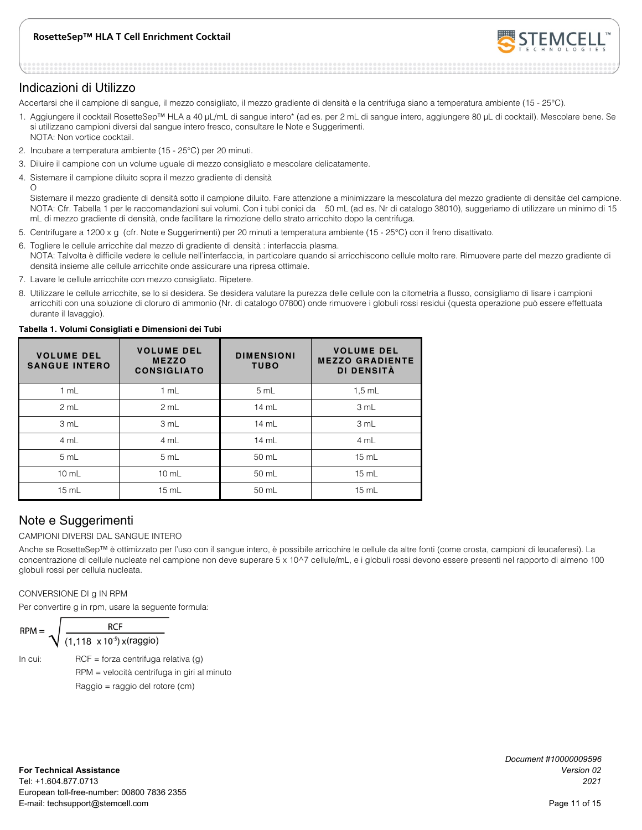

### Indicazioni di Utilizzo

Accertarsi che il campione di sangue, il mezzo consigliato, il mezzo gradiente di densità e la centrifuga siano a temperatura ambiente (15 - 25°C).

- 1. Aggiungere il cocktail RosetteSep™ HLA a 40 μL/mL di sangue intero\* (ad es. per 2 mL di sangue intero, aggiungere 80 μL di cocktail). Mescolare bene. Se si utilizzano campioni diversi dal sangue intero fresco, consultare le Note e Suggerimenti. NOTA: Non vortice cocktail.
- 2. Incubare a temperatura ambiente (15 25°C) per 20 minuti.
- 3. Diluire il campione con un volume uguale di mezzo consigliato e mescolare delicatamente.
- 4. Sistemare il campione diluito sopra il mezzo gradiente di densità  $\Omega$

Sistemare il mezzo gradiente di densità sotto il campione diluito. Fare attenzione a minimizzare la mescolatura del mezzo gradiente di densitàe del campione. NOTA: Cfr. Tabella 1 per le raccomandazioni sui volumi. Con i tubi conici da 50 mL (ad es. Nr di catalogo 38010), suggeriamo di utilizzare un minimo di 15 mL di mezzo gradiente di densità, onde facilitare la rimozione dello strato arricchito dopo la centrifuga.

- 5. Centrifugare a 1200 x g (cfr. Note e Suggerimenti) per 20 minuti a temperatura ambiente (15 25°C) con il freno disattivato.
- 6. Togliere le cellule arricchite dal mezzo di gradiente di densità : interfaccia plasma. NOTA: Talvolta è difficile vedere le cellule nell'interfaccia, in particolare quando si arricchiscono cellule molto rare. Rimuovere parte del mezzo gradiente di densità insieme alle cellule arricchite onde assicurare una ripresa ottimale.
- 7. Lavare le cellule arricchite con mezzo consigliato. Ripetere.
- 8. Utilizzare le cellule arricchite, se lo si desidera. Se desidera valutare la purezza delle cellule con la citometria a flusso, consigliamo di lisare i campioni arricchiti con una soluzione di cloruro di ammonio (Nr. di catalogo 07800) onde rimuovere i globuli rossi residui (questa operazione può essere effettuata durante il lavaggio).

| <b>VOLUME DEL</b><br><b>SANGUE INTERO</b> | <b>VOLUME DEL</b><br><b>MEZZO</b><br><b>CONSIGLIATO</b> | <b>DIMENSIONI</b><br><b>TUBO</b> | <b>VOLUME DEL</b><br><b>MEZZO GRADIENTE</b><br>DI DENSITÀ |
|-------------------------------------------|---------------------------------------------------------|----------------------------------|-----------------------------------------------------------|
| 1 mL                                      | 1 mL                                                    | 5 mL                             | $1,5$ mL                                                  |
| 2 mL                                      | 2 mL                                                    | $14 \text{ mL}$                  | 3 mL                                                      |
| 3 mL                                      | 3 mL                                                    | $14 \text{ mL}$                  | 3 mL                                                      |
| 4 mL                                      | 4 mL                                                    | $14 \text{ mL}$                  | 4 mL                                                      |
| 5 mL                                      | 5 mL                                                    | $50 \text{ mL}$                  | 15 mL                                                     |
| $10 \text{ mL}$                           | $10 \text{ mL}$                                         | $50$ mL                          | $15 \text{ mL}$                                           |
| 15 mL                                     | $15$ mL                                                 | 50 mL                            | $15$ mL                                                   |

#### **Tabella 1. Volumi Consigliati e Dimensioni dei Tubi**

### Note e Suggerimenti

#### CAMPIONI DIVERSI DAL SANGUE INTERO

Anche se RosetteSep™ è ottimizzato per l'uso con il sangue intero, è possibile arricchire le cellule da altre fonti (come crosta, campioni di leucaferesi). La concentrazione di cellule nucleate nel campione non deve superare 5 x 10^7 cellule/mL, e i globuli rossi devono essere presenti nel rapporto di almeno 100 globuli rossi per cellula nucleata.

#### CONVERSIONE DI g IN RPM

Per convertire g in rpm, usare la seguente formula:

$$
\mathsf{RPM} = \sqrt{\frac{\mathsf{RCF}}{(1,118 \times 10^{-5}) \times (\mathsf{raggio})}}
$$

In cui: RCF = forza centrifuga relativa  $(q)$  RPM = velocità centrifuga in giri al minuto Raggio = raggio del rotore (cm)

*Document #10000009596*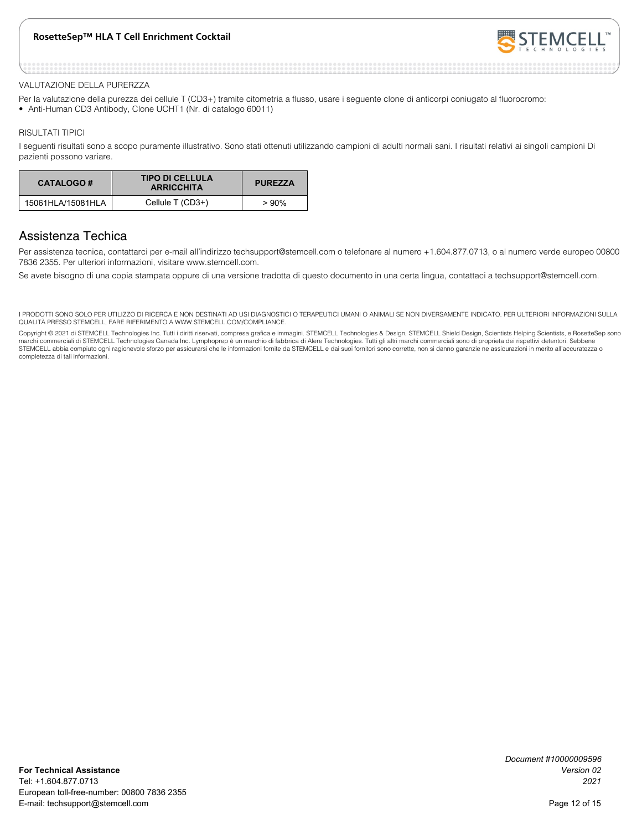

#### VALUTAZIONE DELLA PURERZZA

- Per la valutazione della purezza dei cellule T (CD3+) tramite citometria a flusso, usare i seguente clone di anticorpi coniugato al fluorocromo:
- Anti-Human CD3 Antibody, Clone UCHT1 (Nr. di catalogo 60011)

#### RISULTATI TIPICI

I seguenti risultati sono a scopo puramente illustrativo. Sono stati ottenuti utilizzando campioni di adulti normali sani. I risultati relativi ai singoli campioni Di pazienti possono variare.

| <b>CATALOGO#</b>  | <b>TIPO DI CELLULA</b><br><b>ARRICCHITA</b> | <b>PUREZZA</b> |
|-------------------|---------------------------------------------|----------------|
| 15061HLA/15081HLA | Cellule T (CD3+)                            | $>90\%$        |

### Assistenza Techica

Per assistenza tecnica, contattarci per e-mail all'indirizzo techsupport@stemcell.com o telefonare al numero +1.604.877.0713, o al numero verde europeo 00800 7836 2355. Per ulteriori informazioni, visitare www.stemcell.com.

Se avete bisogno di una copia stampata oppure di una versione tradotta di questo documento in una certa lingua, contattaci a techsupport@stemcell.com.

I PRODOTTI SONO SOLO PER UTILIZZO DI RICERCA E NON DESTINATI AD USI DIAGNOSTICI O TERAPEUTICI UMANI O ANIMALI SE NON DIVERSAMENTE INDICATO. PER ULTERIORI INFORMAZIONI SULLA QUALITÀ PRESSO STEMCELL, FARE RIFERIMENTO A WWW.STEMCELL.COM/COMPLIANCE.

Copyright © 2021 di STEMCELL Technologies Inc. Tutti i diritti riservati, compresa grafica e immagini. STEMCELL Technologies & Design, STEMCELL Shield Design, Scientists Helping Scientists, e RosetteSep sono marchi commerciali di STEMCELL Technologies Canada Inc. Lymphoprep è un marchio di fabbrica di Alere Technologies. Tutti gli altri marchi commerciali sono di proprieta dei rispettivi detentori. Sebbene<br>STEMCELL abbia compi completezza di tali informazioni.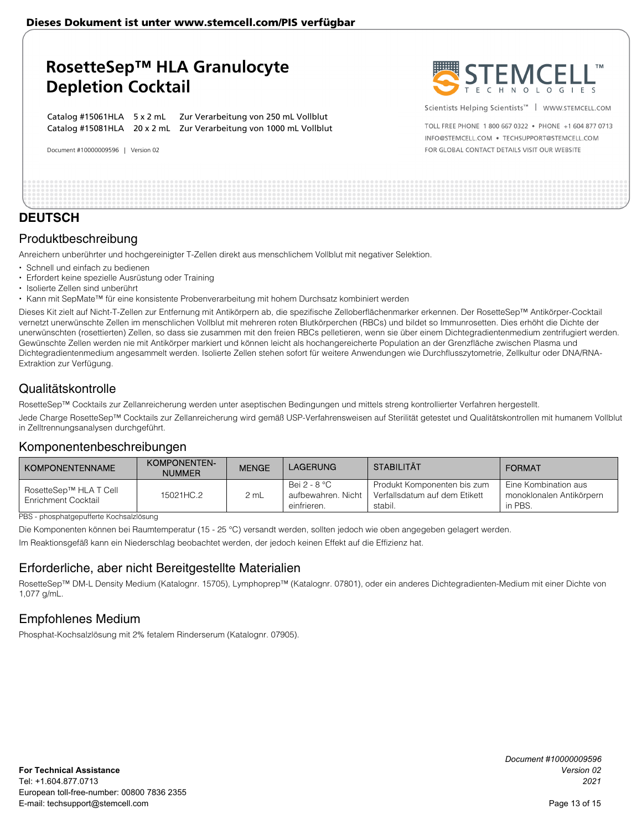## **RosetteSep™ HLA Granulocyte Depletion Cocktail**

Catalog #15061HLA 5 x 2 mL Zur Verarbeitung von 250 mL Vollblut Catalog #15081HLA 20 x 2 mL Zur Verarbeitung von 1000 mL Vollblut

Document #10000009596 | Version 02



Scientists Helping Scientists<sup>™</sup> | WWW.STEMCELL.COM

TOLL ERFE PHONE 1 800 667 0322 · PHONE +1 604 877 0713 INFO@STEMCELL.COM . TECHSUPPORT@STEMCELL.COM FOR GLOBAL CONTACT DETAILS VISIT OUR WEBSITE

| _______ |  |  |
|---------|--|--|

### **DEUTSCH**

### Produktbeschreibung

Anreichern unberührter und hochgereinigter T-Zellen direkt aus menschlichem Vollblut mit negativer Selektion.

- Schnell und einfach zu bedienen
- Erfordert keine spezielle Ausrüstung oder Training
- Isolierte Zellen sind unberührt
- Kann mit SepMate™ für eine konsistente Probenverarbeitung mit hohem Durchsatz kombiniert werden

Dieses Kit zielt auf Nicht-T-Zellen zur Entfernung mit Antikörpern ab, die spezifische Zelloberflächenmarker erkennen. Der RosetteSep™ Antikörper-Cocktail vernetzt unerwünschte Zellen im menschlichen Vollblut mit mehreren roten Blutkörperchen (RBCs) und bildet so Immunrosetten. Dies erhöht die Dichte der unerwünschten (rosettierten) Zellen, so dass sie zusammen mit den freien RBCs pelletieren, wenn sie über einem Dichtegradientenmedium zentrifugiert werden. Gewünschte Zellen werden nie mit Antikörper markiert und können leicht als hochangereicherte Population an der Grenzfläche zwischen Plasma und Dichtegradientenmedium angesammelt werden. Isolierte Zellen stehen sofort für weitere Anwendungen wie Durchflusszytometrie, Zellkultur oder DNA/RNA-Extraktion zur Verfügung.

### Qualitätskontrolle

RosetteSep™ Cocktails zur Zellanreicherung werden unter aseptischen Bedingungen und mittels streng kontrollierter Verfahren hergestellt.

Jede Charge RosetteSep™ Cocktails zur Zellanreicherung wird gemäß USP-Verfahrensweisen auf Sterilität getestet und Qualitätskontrollen mit humanem Vollblut in Zelltrennungsanalysen durchgeführt.

### Komponentenbeschreibungen

| <b>KOMPONENTENNAME</b>                        | KOMPONENTEN-<br><b>NUMMER</b> | <b>MENGE</b> | <b>LAGERUNG</b>                                      | <b>STABILITÄT</b>                                                       | <b>FORMAT</b>                                               |
|-----------------------------------------------|-------------------------------|--------------|------------------------------------------------------|-------------------------------------------------------------------------|-------------------------------------------------------------|
| RosetteSep™ HLA T Cell<br>Enrichment Cocktail | 15021HC.2                     | 2 mL         | Bei 2 - 8 °C<br>aufbewahren. Nicht II<br>einfrieren. | Produkt Komponenten bis zum<br>Verfallsdatum auf dem Etikett<br>stabil. | Eine Kombination aus<br>monoklonalen Antikörpern<br>in PBS. |

PBS - phosphatgepufferte Kochsalzlösung

Die Komponenten können bei Raumtemperatur (15 - 25 °C) versandt werden, sollten jedoch wie oben angegeben gelagert werden.

Im Reaktionsgefäß kann ein Niederschlag beobachtet werden, der jedoch keinen Effekt auf die Effizienz hat.

### Erforderliche, aber nicht Bereitgestellte Materialien

RosetteSep™ DM-L Density Medium (Katalognr. 15705), Lymphoprep™ (Katalognr. 07801), oder ein anderes Dichtegradienten-Medium mit einer Dichte von 1,077 g/mL.

### Empfohlenes Medium

Phosphat-Kochsalzlösung mit 2% fetalem Rinderserum (Katalognr. 07905).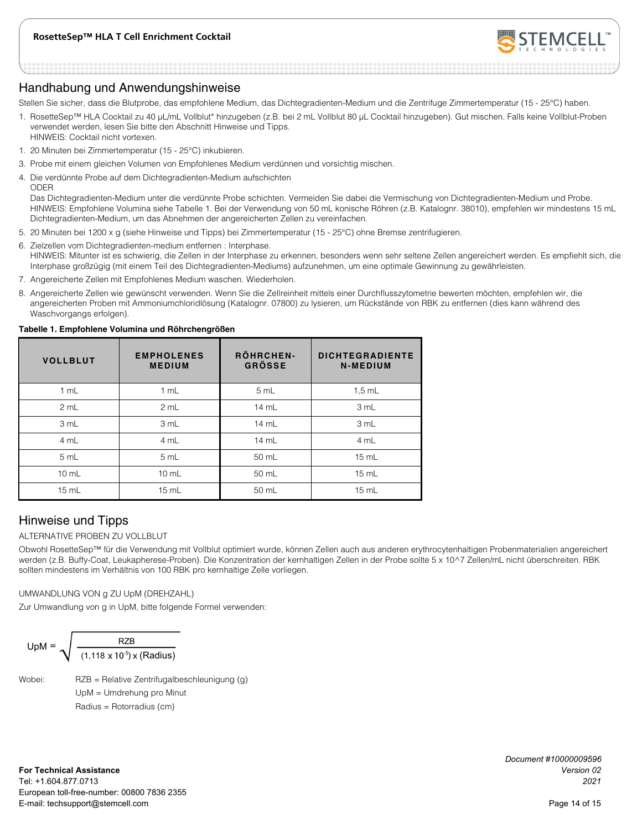

### Handhabung und Anwendungshinweise

Stellen Sie sicher, dass die Blutprobe, das empfohlene Medium, das Dichtegradienten-Medium und die Zentrifuge Zimmertemperatur (15 - 25°C) haben.

- 1. RosetteSep™ HLA Cocktail zu 40 μL/mL Vollblut\* hinzugeben (z.B. bei 2 mL Vollblut 80 μL Cocktail hinzugeben). Gut mischen. Falls keine Vollblut-Proben verwendet werden, lesen Sie bitte den Abschnitt Hinweise und Tipps. HINWEIS: Cocktail nicht vortexen.
- 1. 20 Minuten bei Zimmertemperatur (15 25°C) inkubieren.
- 3. Probe mit einem gleichen Volumen von Empfohlenes Medium verdünnen und vorsichtig mischen.
- 4. Die verdünnte Probe auf dem Dichtegradienten-Medium aufschichten ODER

Das Dichtegradienten-Medium unter die verdünnte Probe schichten. Vermeiden Sie dabei die Vermischung von Dichtegradienten-Medium und Probe. HINWEIS: Empfohlene Volumina siehe Tabelle 1. Bei der Verwendung von 50 mL konische Röhren (z.B. Katalognr. 38010), empfehlen wir mindestens 15 mL Dichtegradienten-Medium, um das Abnehmen der angereicherten Zellen zu vereinfachen.

- 5. 20 Minuten bei 1200 x g (siehe Hinweise und Tipps) bei Zimmertemperatur (15 25°C) ohne Bremse zentrifugieren.
- 6. Zielzellen vom Dichtegradienten-medium entfernen : Interphase. HINWEIS: Mitunter ist es schwierig, die Zellen in der Interphase zu erkennen, besonders wenn sehr seltene Zellen angereichert werden. Es empfiehlt sich, die Interphase großzügig (mit einem Teil des Dichtegradienten-Mediums) aufzunehmen, um eine optimale Gewinnung zu gewährleisten.
- 7. Angereicherte Zellen mit Empfohlenes Medium waschen. Wiederholen.
- 8. Angereicherte Zellen wie gewünscht verwenden. Wenn Sie die Zellreinheit mittels einer Durchflusszytometrie bewerten möchten, empfehlen wir, die angereicherten Proben mit Ammoniumchloridlösung (Katalognr. 07800) zu lysieren, um Rückstände von RBK zu entfernen (dies kann während des Waschvorgangs erfolgen).

| <b>VOLLBLUT</b> | <b>EMPHOLENES</b><br><b>MEDIUM</b> | RÖHRCHEN-<br><b>GRÖSSE</b> | <b>DICHTEGRADIENTE</b><br>N-MEDIUM |
|-----------------|------------------------------------|----------------------------|------------------------------------|
| 1 mL            | 1 mL                               | 5 mL                       | $1.5$ mL                           |
| 2 mL            | 2 mL                               | 14 mL                      | 3 mL                               |
| 3 mL            | 3 mL                               | 14 mL                      | 3 mL                               |
| 4 mL            | 4 mL                               | 14 mL                      | 4 mL                               |
| 5 mL            | 5 mL                               | 50 mL                      | 15 mL                              |
| $10$ mL         | $10 \text{ mL}$                    | 50 mL                      | $15$ mL                            |
| $15$ mL         | 15 mL                              | 50 mL                      | 15 mL                              |

#### **Tabelle 1. Empfohlene Volumina und Röhrchengrößen**

### Hinweise und Tipps

#### ALTERNATIVE PROBEN ZU VOLLBLUT

Obwohl RosetteSep™ für die Verwendung mit Vollblut optimiert wurde, können Zellen auch aus anderen erythrocytenhaltigen Probenmaterialien angereichert werden (z.B. Buffy-Coat, Leukapherese-Proben). Die Konzentration der kernhaltigen Zellen in der Probe sollte 5 x 10^7 Zellen/mL nicht überschreiten. RBK sollten mindestens im Verhältnis von 100 RBK pro kernhaltige Zelle vorliegen.

#### UMWANDLUNG VON g ZU UpM (DREHZAHL)

Zur Umwandlung von g in UpM, bitte folgende Formel verwenden:

$$
UpM = \sqrt{\frac{RZB}{(1,118 \times 10^{-5}) \times (Radius)}}
$$

Wobei: RZB = Relative Zentrifugalbeschleunigung (g) UpM = Umdrehung pro Minut Radius = Rotorradius (cm)